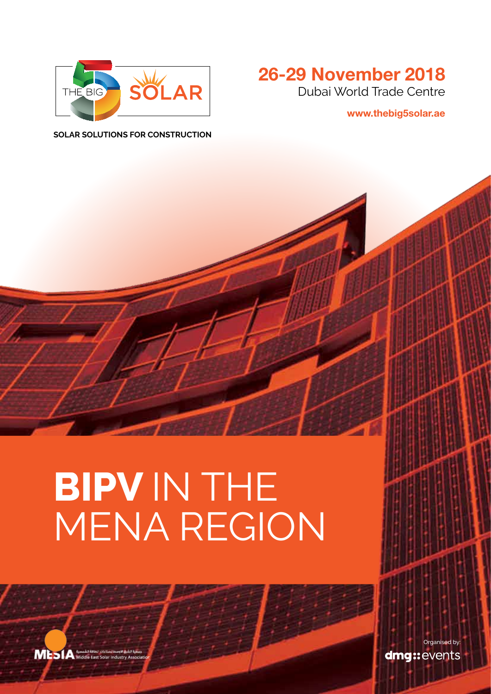

### **26-29 November 2018** Dubai World Trade Centre

**www.thebig5solar.ae**

**Solar Solutions For Construction**

# **BIPV IN THE** MENA Region

MESIA Middle East Solar in

Organised by:dmg::events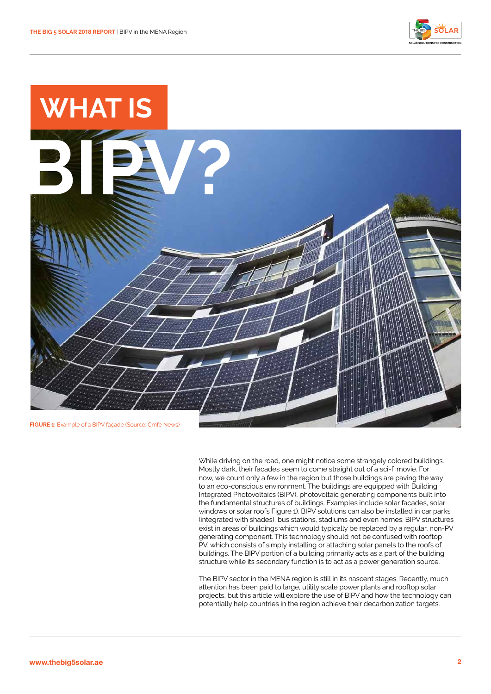



While driving on the road, one might notice some strangely colored buildings. Mostly dark, their facades seem to come straight out of a sci-fi movie. For now, we count only a few in the region but those buildings are paving the way to an eco-conscious environment. The buildings are equipped with Building Integrated Photovoltaics (BIPV), photovoltaic generating components built into the fundamental structures of buildings. Examples include solar facades, solar windows or solar roofs Figure 1). BIPV solutions can also be installed in car parks (integrated with shades), bus stations, stadiums and even homes. BIPV structures exist in areas of buildings which would typically be replaced by a regular, non-PV generating component. This technology should not be confused with rooftop PV, which consists of simply installing or attaching solar panels to the roofs of buildings. The BIPV portion of a building primarily acts as a part of the building structure while its secondary function is to act as a power generation source.

The BIPV sector in the MENA region is still in its nascent stages. Recently, much attention has been paid to large, utility scale power plants and rooftop solar projects, but this article will explore the use of BIPV and how the technology can potentially help countries in the region achieve their decarbonization targets.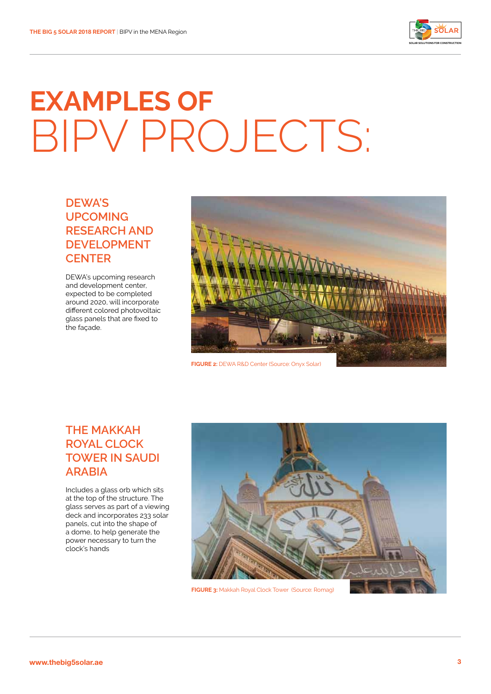

## **Examples of** BIPV PROJECTS:

#### **DEWA's upcoming research and development center**

DEWA's upcoming research and development center, expected to be completed around 2020, will incorporate different colored photovoltaic glass panels that are fixed to the façade.



**Figure 2:** DEWA R&D Center (Source: Onyx Solar)

#### **The Makkah Royal Clock Tower in Saudi Arabia**

Includes a glass orb which sits at the top of the structure. The glass serves as part of a viewing deck and incorporates 233 solar panels, cut into the shape of a dome, to help generate the power necessary to turn the clock's hands



**Figure 3:** Makkah Royal Clock Tower (Source: Romag)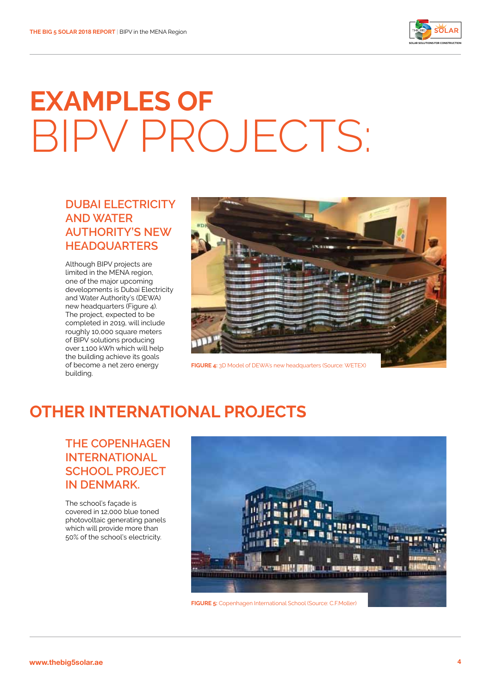

## **Examples of** BIPV PROJECTS:

#### **Dubai Electricity and Water Authority's new headquarters**

Although BIPV projects are limited in the MENA region, one of the major upcoming developments is Dubai Electricity and Water Authority's (DEWA) new headquarters (Figure 4). The project, expected to be completed in 2019, will include roughly 10,000 square meters of BIPV solutions producing over 1,100 kWh which will help the building achieve its goals of become a net zero energy building.



**Figure 4:** 3D Model of DEWA's new headquarters (Source: WETEX)

### **other international projects**

**The Copenhagen International School project in Denmark.** 

The school's façade is covered in 12,000 blue toned photovoltaic generating panels which will provide more than 50% of the school's electricity.

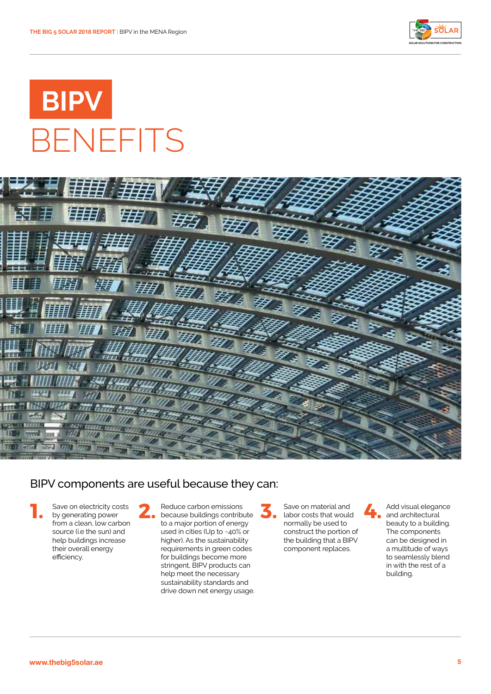

### **BIPV** BENEFITS



#### BIPV components are useful because they can:

Save on electricity costs by generating power from a clean, low carbon source (i.e the sun) and help buildings increase their overall energy efficiency.

Reduce carbon emissions because buildings contribute **1. 2. 3. 4.** to a major portion of energy used in cities (Up to ~40% or higher). As the sustainability requirements in green codes for buildings become more stringent, BIPV products can help meet the necessary sustainability standards and drive down net energy usage.

Save on material and labor costs that would normally be used to construct the portion of the building that a BIPV component replaces.

Add visual elegance and architectural beauty to a building. The components can be designed in a multitude of ways to seamlessly blend in with the rest of a building.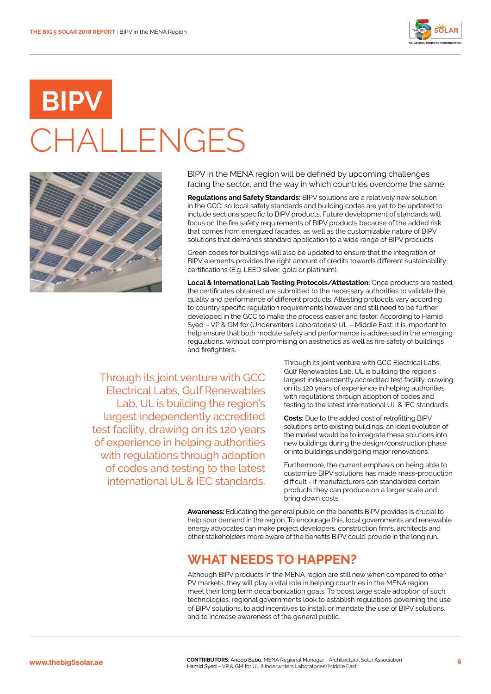

## **BIP CHALLENGES**



BIPV in the MENA region will be defined by upcoming challenges facing the sector, and the way in which countries overcome the same:

**Regulations and Safety Standards:** BIPV solutions are a relatively new solution in the GCC, so local safety standards and building codes are yet to be updated to include sections specific to BIPV products. Future development of standards will focus on the fire safety requirements of BIPV products because of the added risk that comes from energized facades, as well as the customizable nature of BIPV solutions that demands standard application to a wide range of BIPV products.

Green codes for buildings will also be updated to ensure that the integration of BIPV elements provides the right amount of credits towards different sustainability certifications (E.g. LEED silver, gold or platinum).

**Local & International Lab Testing Protocols/Attestation:** Once products are tested, the certificates obtained are submitted to the necessary authorities to validate the quality and performance of different products. Attesting protocols vary according to country specific regulation requirements however and still need to be further developed in the GCC to make the process easier and faster. According to Hamid Syed – VP & GM for (Underwriters Laboratories) UL – Middle East: It is important to help ensure that both module safety and performance is addressed in the emerging regulations, without compromising on aesthetics as well as fire safety of buildings and firefighters.

Through its joint venture with GCC Electrical Labs, Gulf Renewables Lab, UL is building the region's largest independently accredited test facility, drawing on its 120 years of experience in helping authorities with regulations through adoption of codes and testing to the latest international UL & IEC standards.

Through its joint venture with GCC Electrical Labs, Gulf Renewables Lab, UL is building the region's largest independently accredited test facility, drawing on its 120 years of experience in helping authorities with regulations through adoption of codes and testing to the latest international UL & IEC standards.

**Costs:** Due to the added cost of retrofitting BIPV solutions onto existing buildings, an ideal evolution of the market would be to integrate these solutions into new buildings during the design/construction phase or into buildings undergoing major renovations.

Furthermore, the current emphasis on being able to customize BIPV solutions has made mass-production difficult - if manufacturers can standardize certain products they can produce on a larger scale and bring down costs.

**Awareness:** Educating the general public on the benefits BIPV provides is crucial to help spur demand in the region. To encourage this, local governments and renewable energy advocates can make project developers, construction firms, architects and other stakeholders more aware of the benefits BIPV could provide in the long run.

#### **What needs to happen?**

Although BIPV products in the MENA region are still new when compared to other PV markets, they will play a vital role in helping countries in the MENA region meet their long term decarbonization goals. To boost large scale adoption of such technologies, regional governments look to establish regulations governing the use of BIPV solutions, to add incentives to install or mandate the use of BIPV solutions, and to increase awareness of the general public.